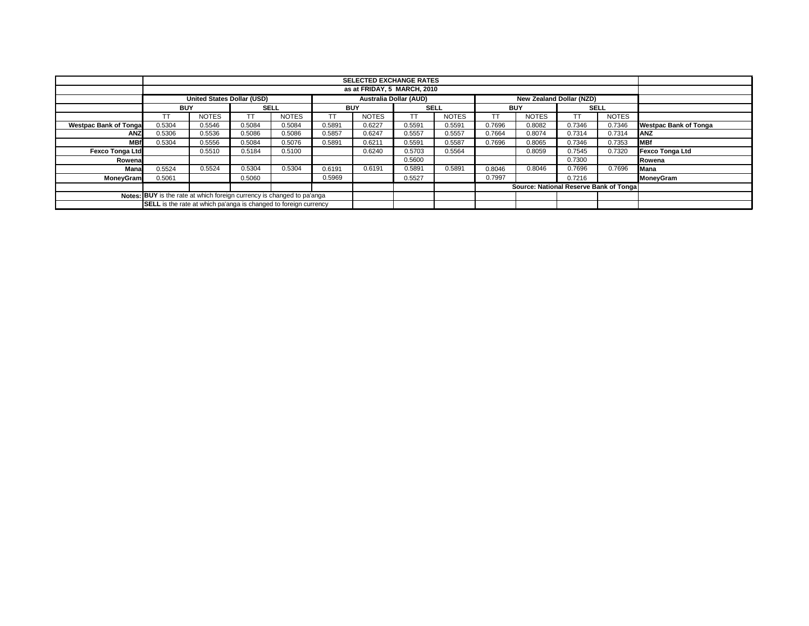|                                                                               |                                                                                                |              |             |              |            | <b>SELECTED EXCHANGE RATES</b> |             |              |            |                                        |             |              |                              |
|-------------------------------------------------------------------------------|------------------------------------------------------------------------------------------------|--------------|-------------|--------------|------------|--------------------------------|-------------|--------------|------------|----------------------------------------|-------------|--------------|------------------------------|
|                                                                               | as at FRIDAY, 5 MARCH, 2010                                                                    |              |             |              |            |                                |             |              |            |                                        |             |              |                              |
|                                                                               | <b>United States Dollar (USD)</b><br><b>Australia Dollar (AUD)</b><br>New Zealand Dollar (NZD) |              |             |              |            |                                |             |              |            |                                        |             |              |                              |
|                                                                               | <b>BUY</b>                                                                                     |              | <b>SELL</b> |              | <b>BUY</b> |                                | <b>SELL</b> |              | <b>BUY</b> |                                        | <b>SELL</b> |              |                              |
|                                                                               | TT                                                                                             | <b>NOTES</b> | <b>TT</b>   | <b>NOTES</b> | TΤ         | <b>NOTES</b>                   | TΤ          | <b>NOTES</b> | TT         | <b>NOTES</b>                           |             | <b>NOTES</b> |                              |
| <b>Westpac Bank of Tongal</b>                                                 | 0.5304                                                                                         | 0.5546       | 0.5084      | 0.5084       | 0.5891     | 0.6227                         | 0.5591      | 0.5591       | 0.7696     | 0.8082                                 | 0.7346      | 0.7346       | <b>Westpac Bank of Tonga</b> |
| <b>ANZ</b>                                                                    | 0.5306                                                                                         | 0.5536       | 0.5086      | 0.5086       | 0.5857     | 0.6247                         | 0.5557      | 0.5557       | 0.7664     | 0.8074                                 | 0.7314      | 0.7314       | ANZ                          |
| <b>MBf</b>                                                                    | 0.5304                                                                                         | 0.5556       | 0.5084      | 0.5076       | 0.5891     | 0.6211                         | 0.5591      | 0.5587       | 0.7696     | 0.8065                                 | 0.7346      | 0.7353       | <b>MBf</b>                   |
| <b>Fexco Tonga Ltd</b>                                                        |                                                                                                | 0.5510       | 0.5184      | 0.5100       |            | 0.6240                         | 0.5703      | 0.5564       |            | 0.8059                                 | 0.7545      | 0.7320       | <b>Fexco Tonga Ltd</b>       |
| Rowena                                                                        |                                                                                                |              |             |              |            |                                | 0.5600      |              | 0.7300     |                                        |             |              | Rowena                       |
| Mana                                                                          | 0.5524                                                                                         | 0.5524       | 0.5304      | 0.5304       | 0.6191     | 0.6191                         | 0.5891      | 0.5891       | 0.8046     | 0.8046                                 | 0.7696      | 0.7696       | Mana                         |
| MoneyGram                                                                     | 0.5061                                                                                         |              | 0.5060      |              | 0.5969     |                                | 0.5527      |              | 0.7997     |                                        | 0.7216      |              | MoneyGram                    |
|                                                                               |                                                                                                |              |             |              |            |                                |             |              |            | Source: National Reserve Bank of Tonga |             |              |                              |
| <b>Notes: BUY</b> is the rate at which foreign currency is changed to pa'anga |                                                                                                |              |             |              |            |                                |             |              |            |                                        |             |              |                              |
| <b>SELL</b> is the rate at which pa'anga is changed to foreign currency       |                                                                                                |              |             |              |            |                                |             |              |            |                                        |             |              |                              |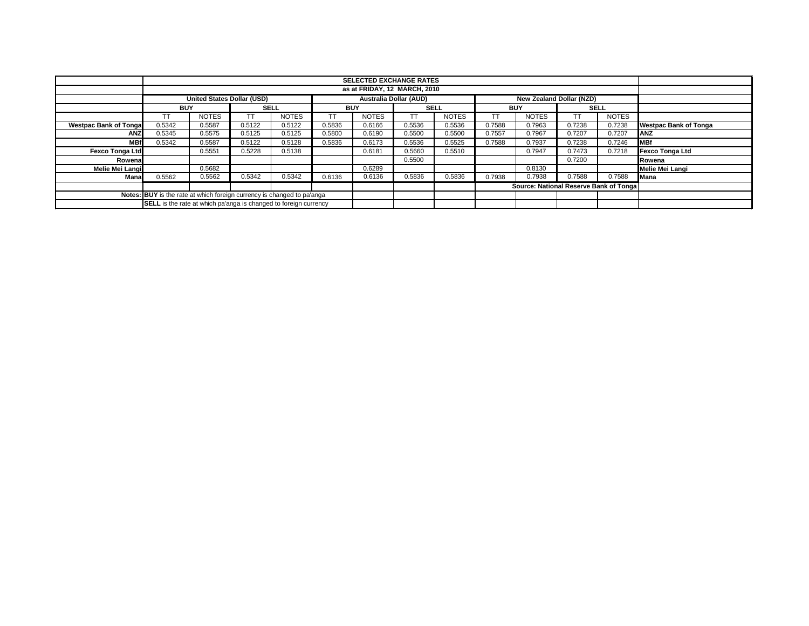|                                                                        |                                                                         |                                                                                  |        |              |            | <b>SELECTED EXCHANGE RATES</b> |        |              |                                        |              |             |                 |                              |  |
|------------------------------------------------------------------------|-------------------------------------------------------------------------|----------------------------------------------------------------------------------|--------|--------------|------------|--------------------------------|--------|--------------|----------------------------------------|--------------|-------------|-----------------|------------------------------|--|
|                                                                        | as at FRIDAY, 12 MARCH, 2010                                            |                                                                                  |        |              |            |                                |        |              |                                        |              |             |                 |                              |  |
|                                                                        |                                                                         | Australia Dollar (AUD)<br>United States Dollar (USD)<br>New Zealand Dollar (NZD) |        |              |            |                                |        |              |                                        |              |             |                 |                              |  |
|                                                                        | <b>BUY</b>                                                              |                                                                                  |        | <b>SELL</b>  | <b>BUY</b> | <b>SELL</b>                    |        |              | <b>BUY</b>                             |              | <b>SELL</b> |                 |                              |  |
|                                                                        | ТT                                                                      | <b>NOTES</b>                                                                     | TT     | <b>NOTES</b> | TΤ         | <b>NOTES</b>                   | ТT     | <b>NOTES</b> |                                        | <b>NOTES</b> |             | <b>NOTES</b>    |                              |  |
| <b>Westpac Bank of Tongal</b>                                          | 0.5342                                                                  | 0.5587                                                                           | 0.5122 | 0.5122       | 0.5836     | 0.6166                         | 0.5536 | 0.5536       | 0.7588                                 | 0.7963       | 0.7238      | 0.7238          | <b>Westpac Bank of Tonga</b> |  |
| <b>ANZ</b>                                                             | 0.5345                                                                  | 0.5575                                                                           | 0.5125 | 0.5125       | 0.5800     | 0.6190                         | 0.5500 | 0.5500       | 0.7557                                 | 0.7967       | 0.7207      | 0.7207          | <b>ANZ</b>                   |  |
| <b>MBf</b>                                                             | 0.5342                                                                  | 0.5587                                                                           | 0.5122 | 0.5128       | 0.5836     | 0.6173                         | 0.5536 | 0.5525       | 0.7588                                 | 0.7937       | 0.7238      | 0.7246          | <b>IMBf</b>                  |  |
| <b>Fexco Tonga Ltd</b>                                                 | 0.5228<br>0.5138<br>0.5551                                              |                                                                                  |        |              | 0.6181     | 0.5660                         | 0.5510 |              | 0.7947                                 | 0.7473       | 0.7218      | Fexco Tonga Ltd |                              |  |
| Rowena                                                                 |                                                                         |                                                                                  |        |              |            |                                | 0.5500 |              |                                        |              | 0.7200      |                 | Rowena                       |  |
| Melie Mei Langi                                                        |                                                                         | 0.5682                                                                           |        |              |            | 0.6289                         |        |              | 0.8130                                 |              |             |                 | Melie Mei Langi              |  |
| Mana                                                                   | 0.5562                                                                  | 0.5562                                                                           | 0.5342 | 0.5342       | 0.6136     | 0.6136                         | 0.5836 | 0.5836       | 0.7938                                 | 0.7938       | 0.7588      | 0.7588          | <b>Mana</b>                  |  |
|                                                                        |                                                                         |                                                                                  |        |              |            |                                |        |              | Source: National Reserve Bank of Tonga |              |             |                 |                              |  |
| Notes: BUY is the rate at which foreign currency is changed to pa'anga |                                                                         |                                                                                  |        |              |            |                                |        |              |                                        |              |             |                 |                              |  |
|                                                                        | <b>SELL</b> is the rate at which pa'anga is changed to foreign currency |                                                                                  |        |              |            |                                |        |              |                                        |              |             |                 |                              |  |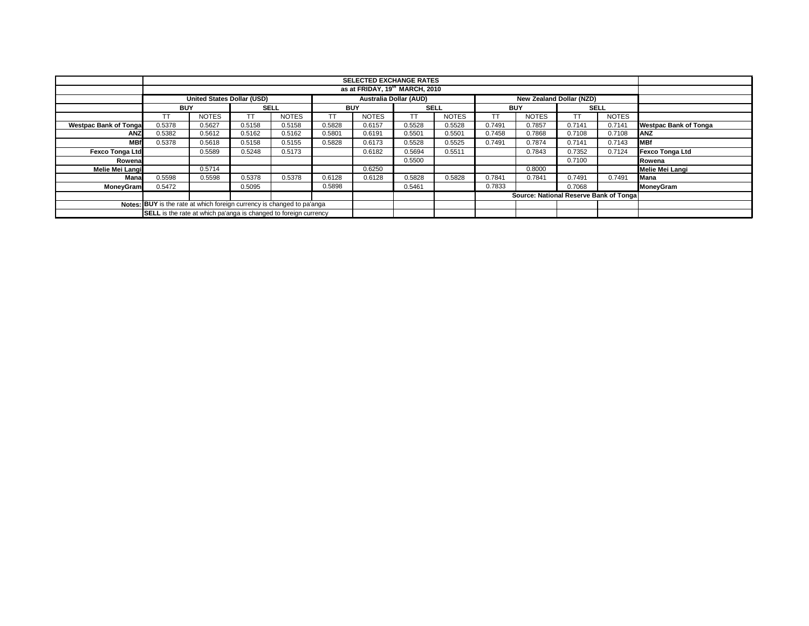|                                                                        |                                                                         | <b>SELECTED EXCHANGE RATES</b>             |        |              |           |                        |           |              |                                         |                                 |        |              |                              |
|------------------------------------------------------------------------|-------------------------------------------------------------------------|--------------------------------------------|--------|--------------|-----------|------------------------|-----------|--------------|-----------------------------------------|---------------------------------|--------|--------------|------------------------------|
|                                                                        |                                                                         | as at FRIDAY, 19 <sup>th</sup> MARCH, 2010 |        |              |           |                        |           |              |                                         |                                 |        |              |                              |
|                                                                        |                                                                         | <b>United States Dollar (USD)</b>          |        |              |           | Australia Dollar (AUD) |           |              |                                         | <b>New Zealand Dollar (NZD)</b> |        |              |                              |
|                                                                        | <b>BUY</b>                                                              |                                            |        | <b>SELL</b>  |           | <b>BUY</b>             |           | <b>SELL</b>  |                                         | <b>BUY</b>                      |        | <b>SELL</b>  |                              |
|                                                                        | ТT                                                                      | <b>NOTES</b>                               | TT     | <b>NOTES</b> | <b>TT</b> | <b>NOTES</b>           | <b>TT</b> | <b>NOTES</b> |                                         | <b>NOTES</b>                    |        | <b>NOTES</b> |                              |
| <b>Westpac Bank of Tongal</b>                                          | 0.5378                                                                  | 0.5627                                     | 0.5158 | 0.5158       | 0.5828    | 0.6157                 | 0.5528    | 0.5528       | 0.7491                                  | 0.7857                          | 0.7141 | 0.7141       | <b>Westpac Bank of Tonga</b> |
| <b>ANZ</b>                                                             | 0.5382                                                                  | 0.5612                                     | 0.5162 | 0.5162       | 0.5801    | 0.6191                 | 0.5501    | 0.5501       | 0.7458                                  | 0.7868                          | 0.7108 | 0.7108       | <b>ANZ</b>                   |
| <b>MBf</b>                                                             | 0.5378                                                                  | 0.5618                                     | 0.5158 | 0.5155       | 0.5828    | 0.6173                 | 0.5528    | 0.5525       | 0.7491                                  | 0.7874                          | 0.7141 | 0.7143       | <b>MBf</b>                   |
| <b>Fexco Tonga Ltd</b>                                                 |                                                                         | 0.5589                                     | 0.5248 | 0.5173       |           | 0.6182                 | 0.5694    | 0.5511       |                                         | 0.7843                          | 0.7352 | 0.7124       | <b>Fexco Tonga Ltd</b>       |
| Rowena                                                                 |                                                                         |                                            |        |              |           |                        | 0.5500    |              |                                         |                                 | 0.7100 |              | Rowena                       |
| Melie Mei Langi                                                        |                                                                         | 0.5714                                     |        |              |           | 0.6250                 |           |              |                                         | 0.8000                          |        |              | Melie Mei Langi              |
| Mana                                                                   | 0.5598                                                                  | 0.5598                                     | 0.5378 | 0.5378       | 0.6128    | 0.6128                 | 0.5828    | 0.5828       | 0.7841                                  | 0.7841                          | 0.7491 | 0.7491       | Mana                         |
| MoneyGram                                                              | 0.5472                                                                  |                                            | 0.5095 |              | 0.5898    |                        | 0.5461    |              | 0.7833                                  |                                 | 0.7068 |              | MoneyGram                    |
|                                                                        |                                                                         |                                            |        |              |           |                        |           |              | Source: National Reserve Bank of Tongal |                                 |        |              |                              |
| Notes: BUY is the rate at which foreign currency is changed to pa'anga |                                                                         |                                            |        |              |           |                        |           |              |                                         |                                 |        |              |                              |
|                                                                        | <b>SELL</b> is the rate at which pa'anga is changed to foreign currency |                                            |        |              |           |                        |           |              |                                         |                                 |        |              |                              |